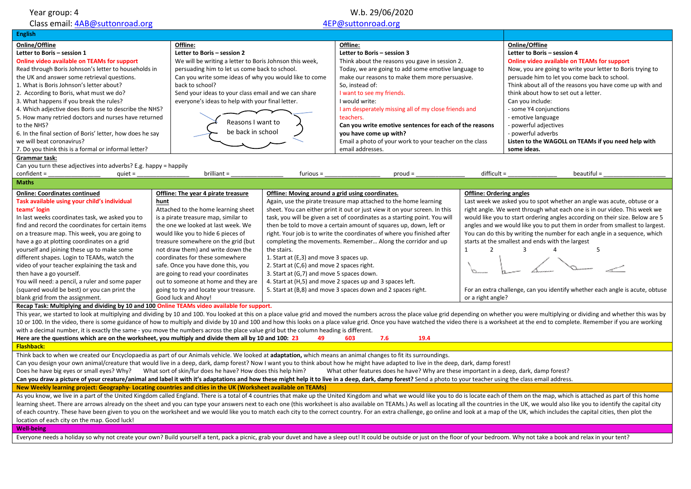| Year group: 4                                                                                                                                                                                                                                                                                                                                                                                                                                                                                                                                                                                                                                                                                                                                 |                                                                                              | W.b. 29/06/2020                                                                                                  |                                                                                   |                                          |                                                                              |  |  |
|-----------------------------------------------------------------------------------------------------------------------------------------------------------------------------------------------------------------------------------------------------------------------------------------------------------------------------------------------------------------------------------------------------------------------------------------------------------------------------------------------------------------------------------------------------------------------------------------------------------------------------------------------------------------------------------------------------------------------------------------------|----------------------------------------------------------------------------------------------|------------------------------------------------------------------------------------------------------------------|-----------------------------------------------------------------------------------|------------------------------------------|------------------------------------------------------------------------------|--|--|
| Class email: 4AB@suttonroad.org                                                                                                                                                                                                                                                                                                                                                                                                                                                                                                                                                                                                                                                                                                               |                                                                                              | 4EP@suttonroad.org                                                                                               |                                                                                   |                                          |                                                                              |  |  |
| <b>English</b>                                                                                                                                                                                                                                                                                                                                                                                                                                                                                                                                                                                                                                                                                                                                |                                                                                              |                                                                                                                  |                                                                                   |                                          |                                                                              |  |  |
| Online/Offline                                                                                                                                                                                                                                                                                                                                                                                                                                                                                                                                                                                                                                                                                                                                | Offline:                                                                                     |                                                                                                                  | Offline:                                                                          |                                          | Online/Offline                                                               |  |  |
| Letter to Boris - session 1<br>Letter to Boris - session 2<br><b>Online video available on TEAMs for support</b><br>We will be writing a letter to Boris Johnson this week,                                                                                                                                                                                                                                                                                                                                                                                                                                                                                                                                                                   |                                                                                              |                                                                                                                  | Letter to Boris - session 3<br>Think about the reasons you gave in session 2.     |                                          | Letter to Boris - session 4<br>Online video available on TEAMs for support   |  |  |
| Read through Boris Johnson's letter to households in                                                                                                                                                                                                                                                                                                                                                                                                                                                                                                                                                                                                                                                                                          | persuading him to let us come back to school.                                                |                                                                                                                  | Today, we are going to add some emotive language to                               |                                          | Now, you are going to write your letter to Boris trying to                   |  |  |
| the UK and answer some retrieval questions.                                                                                                                                                                                                                                                                                                                                                                                                                                                                                                                                                                                                                                                                                                   | Can you write some ideas of why you would like to come                                       |                                                                                                                  | make our reasons to make them more persuasive.                                    |                                          | persuade him to let you come back to school.                                 |  |  |
| 1. What is Boris Johnson's letter about?                                                                                                                                                                                                                                                                                                                                                                                                                                                                                                                                                                                                                                                                                                      | back to school?                                                                              |                                                                                                                  | So, instead of:                                                                   |                                          | Think about all of the reasons you have come up with and                     |  |  |
| 2. According to Boris, what must we do?                                                                                                                                                                                                                                                                                                                                                                                                                                                                                                                                                                                                                                                                                                       | Send your ideas to your class email and we can share                                         |                                                                                                                  | I want to see my friends.                                                         |                                          | think about how to set out a letter.                                         |  |  |
| 3. What happens if you break the rules?                                                                                                                                                                                                                                                                                                                                                                                                                                                                                                                                                                                                                                                                                                       | everyone's ideas to help with your final letter.                                             |                                                                                                                  | I would write:                                                                    |                                          | Can you include:                                                             |  |  |
| 4. Which adjective does Boris use to describe the NHS?                                                                                                                                                                                                                                                                                                                                                                                                                                                                                                                                                                                                                                                                                        |                                                                                              |                                                                                                                  | I am desperately missing all of my close friends and                              |                                          | - some Y4 conjunctions                                                       |  |  |
| 5. How many retried doctors and nurses have returned                                                                                                                                                                                                                                                                                                                                                                                                                                                                                                                                                                                                                                                                                          | Reasons I want to                                                                            |                                                                                                                  | teachers.                                                                         |                                          | emotive language                                                             |  |  |
| to the NHS?                                                                                                                                                                                                                                                                                                                                                                                                                                                                                                                                                                                                                                                                                                                                   | be back in school                                                                            |                                                                                                                  | Can you write emotive sentences for each of the reasons                           |                                          | - powerful adjectives                                                        |  |  |
| 6. In the final section of Boris' letter, how does he say<br>we will beat coronavirus?                                                                                                                                                                                                                                                                                                                                                                                                                                                                                                                                                                                                                                                        |                                                                                              |                                                                                                                  | you have come up with?<br>Email a photo of your work to your teacher on the class |                                          | powerful adverbs<br>Listen to the WAGOLL on TEAMs if you need help with      |  |  |
| 7. Do you think this is a formal or informal letter?                                                                                                                                                                                                                                                                                                                                                                                                                                                                                                                                                                                                                                                                                          |                                                                                              |                                                                                                                  | email addresses.                                                                  |                                          | some ideas.                                                                  |  |  |
| Grammar task:                                                                                                                                                                                                                                                                                                                                                                                                                                                                                                                                                                                                                                                                                                                                 |                                                                                              |                                                                                                                  |                                                                                   |                                          |                                                                              |  |  |
| Can you turn these adjectives into adverbs? E.g. happy = happily                                                                                                                                                                                                                                                                                                                                                                                                                                                                                                                                                                                                                                                                              |                                                                                              |                                                                                                                  |                                                                                   |                                          |                                                                              |  |  |
| $confident =$<br>quiet $=$                                                                                                                                                                                                                                                                                                                                                                                                                                                                                                                                                                                                                                                                                                                    | brilliant =                                                                                  | $furious =$                                                                                                      | $prod =$                                                                          | $difficult =$                            | $beautiful =$                                                                |  |  |
| <b>Maths</b>                                                                                                                                                                                                                                                                                                                                                                                                                                                                                                                                                                                                                                                                                                                                  |                                                                                              |                                                                                                                  |                                                                                   |                                          |                                                                              |  |  |
| <b>Online: Coordinates continued</b>                                                                                                                                                                                                                                                                                                                                                                                                                                                                                                                                                                                                                                                                                                          | Offline: The year 4 pirate treasure                                                          | Offline: Moving around a grid using coordinates.                                                                 |                                                                                   | <b>Offline: Ordering angles</b>          |                                                                              |  |  |
| Task available using your child's individual                                                                                                                                                                                                                                                                                                                                                                                                                                                                                                                                                                                                                                                                                                  | hunt                                                                                         |                                                                                                                  | Again, use the pirate treasure map attached to the home learning                  |                                          | Last week we asked you to spot whether an angle was acute, obtuse or a       |  |  |
| teams' login                                                                                                                                                                                                                                                                                                                                                                                                                                                                                                                                                                                                                                                                                                                                  | Attached to the home learning sheet                                                          |                                                                                                                  | sheet. You can either print it out or just view it on your screen. In this        |                                          | right angle. We went through what each one is in our video. This week we     |  |  |
| In last weeks coordinates task, we asked you to                                                                                                                                                                                                                                                                                                                                                                                                                                                                                                                                                                                                                                                                                               | is a pirate treasure map, similar to                                                         |                                                                                                                  | task, you will be given a set of coordinates as a starting point. You will        |                                          | would like you to start ordering angles according on their size. Below are 5 |  |  |
| find and record the coordinates for certain items                                                                                                                                                                                                                                                                                                                                                                                                                                                                                                                                                                                                                                                                                             | the one we looked at last week. We                                                           |                                                                                                                  | then be told to move a certain amount of squares up, down, left or                |                                          | angles and we would like you to put them in order from smallest to largest.  |  |  |
| on a treasure map. This week, you are going to                                                                                                                                                                                                                                                                                                                                                                                                                                                                                                                                                                                                                                                                                                | would like you to hide 6 pieces of                                                           | right. Your job is to write the coordinates of where you finished after                                          |                                                                                   |                                          | You can do this by writing the number for each angle in a sequence, which    |  |  |
| have a go at plotting coordinates on a grid                                                                                                                                                                                                                                                                                                                                                                                                                                                                                                                                                                                                                                                                                                   | treasure somewhere on the grid (but                                                          | completing the movements. Remember Along the corridor and up<br>starts at the smallest and ends with the largest |                                                                                   |                                          |                                                                              |  |  |
| yourself and joining these up to make some                                                                                                                                                                                                                                                                                                                                                                                                                                                                                                                                                                                                                                                                                                    | not draw them) and write down the                                                            | the stairs.                                                                                                      |                                                                                   | $\mathbf{1}$<br>$\overline{2}$<br>3<br>5 |                                                                              |  |  |
| different shapes. Login to TEAMs, watch the                                                                                                                                                                                                                                                                                                                                                                                                                                                                                                                                                                                                                                                                                                   | coordinates for these somewhere                                                              | 1. Start at (E,3) and move 3 spaces up.                                                                          |                                                                                   |                                          |                                                                              |  |  |
| video of your teacher explaining the task and<br>then have a go yourself.                                                                                                                                                                                                                                                                                                                                                                                                                                                                                                                                                                                                                                                                     | safe. Once you have done this, you<br>are going to read your coordinates                     | 2. Start at (C,6) and move 2 spaces right.<br>3. Start at (G,7) and move 5 spaces down.                          |                                                                                   |                                          |                                                                              |  |  |
| You will need: a pencil, a ruler and some paper                                                                                                                                                                                                                                                                                                                                                                                                                                                                                                                                                                                                                                                                                               | out to someone at home and they are                                                          |                                                                                                                  | 4. Start at (H,5) and move 2 spaces up and 3 spaces left.                         |                                          |                                                                              |  |  |
| (squared would be best) or you can print the                                                                                                                                                                                                                                                                                                                                                                                                                                                                                                                                                                                                                                                                                                  | going to try and locate your treasure.                                                       |                                                                                                                  | 5. Start at (B,8) and move 3 spaces down and 2 spaces right.                      |                                          | For an extra challenge, can you identify whether each angle is acute, obtuse |  |  |
| blank grid from the assignment.                                                                                                                                                                                                                                                                                                                                                                                                                                                                                                                                                                                                                                                                                                               | Good luck and Ahoy!                                                                          |                                                                                                                  |                                                                                   | or a right angle?                        |                                                                              |  |  |
|                                                                                                                                                                                                                                                                                                                                                                                                                                                                                                                                                                                                                                                                                                                                               | Recap Task: Multiplying and dividing by 10 and 100 Online TEAMs video available for support. |                                                                                                                  |                                                                                   |                                          |                                                                              |  |  |
| This year, we started to look at multiplying and dividing by 10 and 100. You looked at this on a place value grid and moved the numbers across the place value grid depending on whether you were multiplying or dividing and<br>10 or 100. In the video, there is some guidance of how to multiply and divide by 10 and 100 and how this looks on a place value grid. Once you have watched the video there is a worksheet at the end to complete. Remember if<br>with a decimal number, it is exactly the same - you move the numbers across the place value grid but the column heading is different.<br>Here are the questions which are on the worksheet, you multiply and divide them all by 10 and 100: 23<br>19.4<br>49<br>603<br>7.6 |                                                                                              |                                                                                                                  |                                                                                   |                                          |                                                                              |  |  |
| <b>Flashback:</b>                                                                                                                                                                                                                                                                                                                                                                                                                                                                                                                                                                                                                                                                                                                             |                                                                                              |                                                                                                                  |                                                                                   |                                          |                                                                              |  |  |
| Think back to when we created our Encyclopaedia as part of our Animals vehicle. We looked at adaptation, which means an animal changes to fit its surroundings.<br>Can you design your own animal/creature that would live in a deep, dark, damp forest? Now I want you to think about how he might have adapted to live in the deep, dark, damp forest!                                                                                                                                                                                                                                                                                                                                                                                      |                                                                                              |                                                                                                                  |                                                                                   |                                          |                                                                              |  |  |
| Does he have big eyes or small eyes? Why? What sort of skin/fur does he have? How does this help him?<br>What other features does he have? Why are these important in a deep, dark, damp forest?                                                                                                                                                                                                                                                                                                                                                                                                                                                                                                                                              |                                                                                              |                                                                                                                  |                                                                                   |                                          |                                                                              |  |  |
| Can you draw a picture of your creature/animal and label it with it's adaptations and how these might help it to live in a deep, dark, damp forest? Send a photo to your teacher using the class email address.                                                                                                                                                                                                                                                                                                                                                                                                                                                                                                                               |                                                                                              |                                                                                                                  |                                                                                   |                                          |                                                                              |  |  |
| New Weekly learning project: Geography-Locating countries and cities in the UK (Worksheet available on TEAMs)                                                                                                                                                                                                                                                                                                                                                                                                                                                                                                                                                                                                                                 |                                                                                              |                                                                                                                  |                                                                                   |                                          |                                                                              |  |  |
| As you know, we live in a part of the United Kingdom called England. There is a total of 4 countries that make up the United Kingdom and what we would like you to do is locate each of them on the map, which is attached as                                                                                                                                                                                                                                                                                                                                                                                                                                                                                                                 |                                                                                              |                                                                                                                  |                                                                                   |                                          |                                                                              |  |  |
| learning sheet. There are arrows already on the sheet and you can type your answers next to each one (this worksheet is also available on TEAMs.) As well as locating all the countries in the UK, we would also like you to i<br>of each country. These have been given to you on the worksheet and we would like you to match each city to the correct country. For an extra challenge, go online and look at a map of the UK, which includes the capital citi<br>location of each city on the map. Good luck!                                                                                                                                                                                                                              |                                                                                              |                                                                                                                  |                                                                                   |                                          |                                                                              |  |  |
| <b>Well-being</b>                                                                                                                                                                                                                                                                                                                                                                                                                                                                                                                                                                                                                                                                                                                             |                                                                                              |                                                                                                                  |                                                                                   |                                          |                                                                              |  |  |
| Everyone needs a holiday so why not create your own? Build yourself a tent, pack a picnic, grab your duvet and have a sleep out! It could be outside or just on the floor of your bedroom. Why not take a book and relax in yo                                                                                                                                                                                                                                                                                                                                                                                                                                                                                                                |                                                                                              |                                                                                                                  |                                                                                   |                                          |                                                                              |  |  |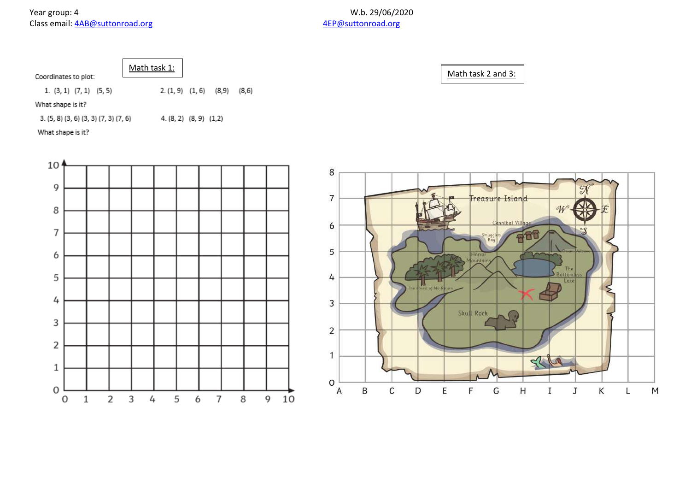|                      | Mat |
|----------------------|-----|
| Coordinates to plot: |     |
|                      |     |

th task  $1:$ 

Math task 2 and 3:

1.  $(3, 1)$   $(7, 1)$   $(5, 5)$  $2. (1, 9)$   $(1, 6)$   $(8, 9)$   $(8, 6)$ 

What shape is it?

 $3. (5, 8) (3, 6) (3, 3) (7, 3) (7, 6)$  $4. (8, 2) (8, 9) (1, 2)$ 

What shape is it?



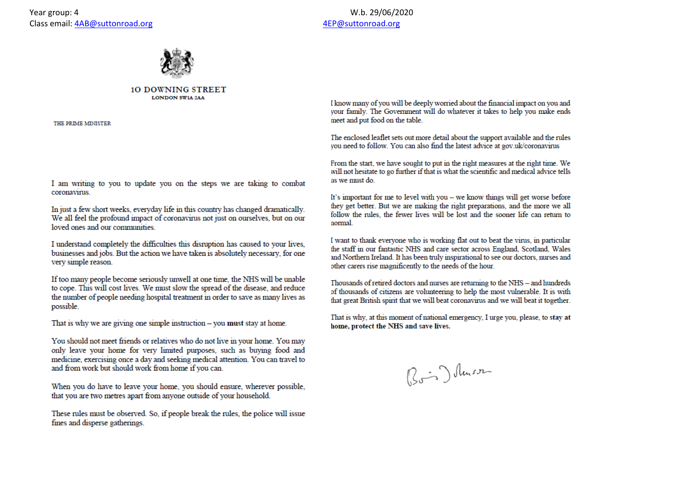



## **10 DOWNING STREET LONDON SWIA 2AA**

THE PRIME MINISTER

I am writing to you to update you on the steps we are taking to combat coronavirus.

In just a few short weeks, everyday life in this country has changed dramatically. We all feel the profound impact of coronavirus not just on ourselves, but on our loved ones and our communities.

I understand completely the difficulties this disruption has caused to your lives, businesses and jobs. But the action we have taken is absolutely necessary, for one very simple reason.

If too many people become seriously unwell at one time, the NHS will be unable to cope. This will cost lives. We must slow the spread of the disease, and reduce the number of people needing hospital treatment in order to save as many lives as possible.

That is why we are giving one simple instruction  $-$  you must stay at home.

You should not meet friends or relatives who do not live in your home. You may only leave your home for very limited purposes, such as buying food and medicine, exercising once a day and seeking medical attention. You can travel to and from work but should work from home if you can.

When you do have to leave your home, you should ensure, wherever possible, that you are two metres apart from anyone outside of your household.

These rules must be observed. So, if people break the rules, the police will issue fines and disperse gatherings.

I know many of you will be deeply worried about the financial impact on you and your family. The Government will do whatever it takes to help you make ends meet and put food on the table.

The enclosed leaflet sets out more detail about the support available and the rules you need to follow. You can also find the latest advice at gov.uk/coronavirus

From the start, we have sought to put in the right measures at the right time. We will not hesitate to go further if that is what the scientific and medical advice tells us we must do.

It's important for me to level with you - we know things will get worse before they get better. But we are making the right preparations, and the more we all follow the rules, the fewer lives will be lost and the sooner life can return to normal.

I want to thank everyone who is working flat out to beat the virus, in particular the staff in our fantastic NHS and care sector across England, Scotland, Wales and Northern Ireland. It has been truly inspirational to see our doctors, nurses and other carers rise magnificently to the needs of the hour.

Thousands of retired doctors and nurses are returning to the NHS - and hundreds of thousands of citizens are volunteering to help the most vulnerable. It is with that great British spirit that we will beat coronavirus and we will beat it together.

That is why, at this moment of national emergency, I urge you, please, to stay at home, protect the NHS and save lives.

Bois) luisse